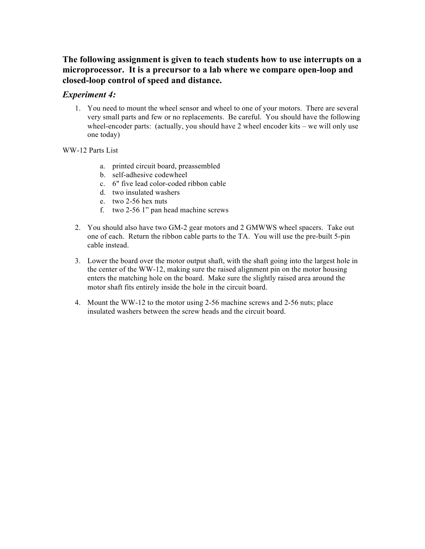## **The following assignment is given to teach students how to use interrupts on a microprocessor. It is a precursor to a lab where we compare open-loop and closed-loop control of speed and distance.**

## *Experiment 4:*

1. You need to mount the wheel sensor and wheel to one of your motors. There are several very small parts and few or no replacements. Be careful. You should have the following wheel-encoder parts: (actually, you should have 2 wheel encoder kits – we will only use one today)

WW-12 Parts List

- a. printed circuit board, preassembled
- b. self-adhesive codewheel
- c. 6" five lead color-coded ribbon cable
- d. two insulated washers
- e. two 2-56 hex nuts
- f. two 2-56 1" pan head machine screws
- 2. You should also have two GM-2 gear motors and 2 GMWWS wheel spacers. Take out one of each. Return the ribbon cable parts to the TA. You will use the pre-built 5-pin cable instead.
- 3. Lower the board over the motor output shaft, with the shaft going into the largest hole in the center of the WW-12, making sure the raised alignment pin on the motor housing enters the matching hole on the board. Make sure the slightly raised area around the motor shaft fits entirely inside the hole in the circuit board.
- 4. Mount the WW-12 to the motor using 2-56 machine screws and 2-56 nuts; place insulated washers between the screw heads and the circuit board.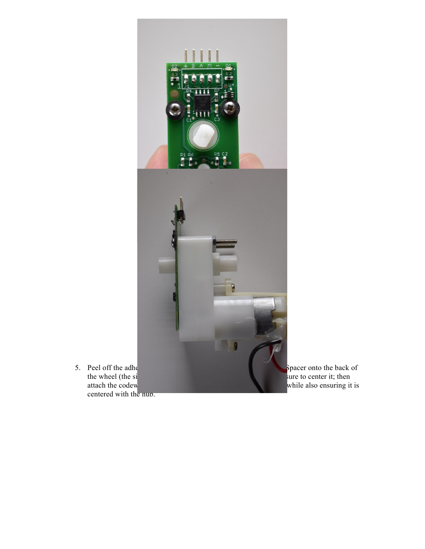

while also ensuring it is

centered with the hub.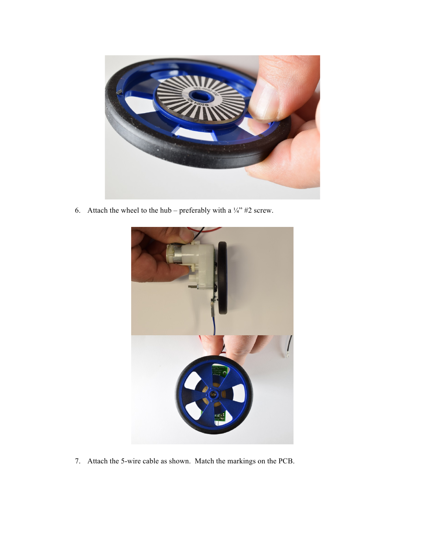

6. Attach the wheel to the hub – preferably with a  $\frac{1}{4}$  #2 screw.



7. Attach the 5-wire cable as shown. Match the markings on the PCB.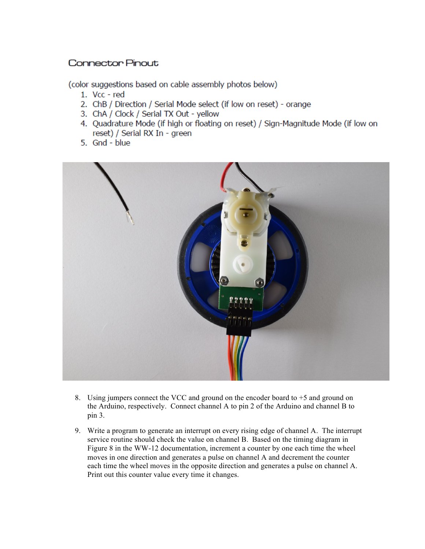## **Connector Pinout**

(color suggestions based on cable assembly photos below)

- 1. Vcc red
- 2. ChB / Direction / Serial Mode select (if low on reset) orange
- 3. ChA / Clock / Serial TX Out yellow
- 4. Quadrature Mode (if high or floating on reset) / Sign-Magnitude Mode (if low on reset) / Serial RX In - green
- 5. Gnd blue



- 8. Using jumpers connect the VCC and ground on the encoder board to  $+5$  and ground on the Arduino, respectively. Connect channel A to pin 2 of the Arduino and channel B to  $pin 3.$
- 9. Write a program to generate an interrupt on every rising edge of channel A. The interrupt service routine should check the value on channel B. Based on the timing diagram in Figure 8 in the WW-12 documentation, increment a counter by one each time the wheel moves in one direction and generates a pulse on channel A and decrement the counter each time the wheel moves in the opposite direction and generates a pulse on channel A. Print out this counter value every time it changes.